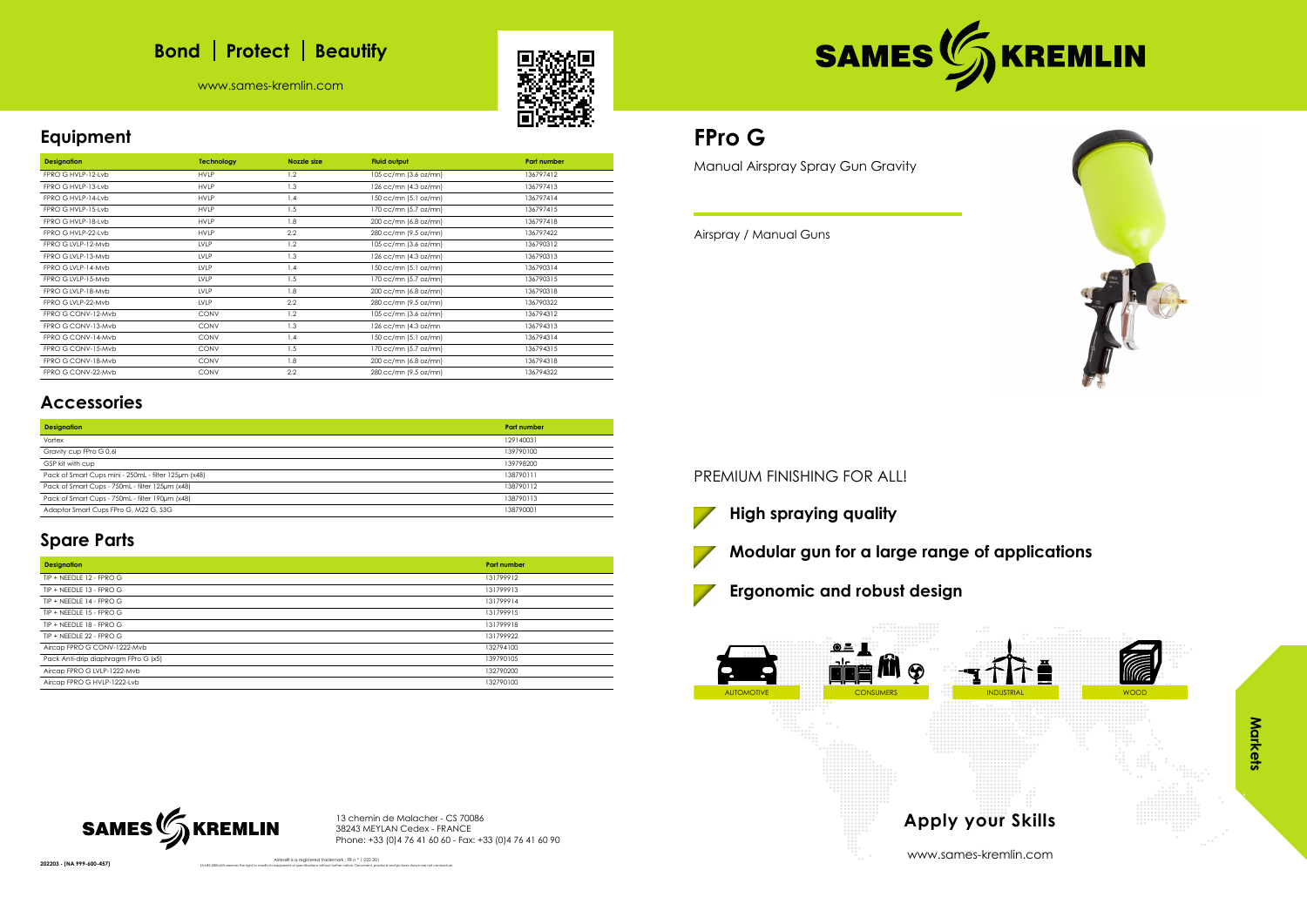# **Bond** | Protect | Beautify

www.sames-kremlin.com





## **Equipment**

| <b>Designation</b> | <b>Technology</b> | <b>Nozzle size</b> | <b>Fluid output</b>   | <b>Part number</b> |
|--------------------|-------------------|--------------------|-----------------------|--------------------|
| FPRO G HVLP-12-Lvb | <b>HVLP</b>       | 1.2                | 105 cc/mn (3.6 oz/mn) | 136797412          |
| FPRO G HVLP-13-Lvb | <b>HVLP</b>       | 1.3                | 126 cc/mn (4.3 oz/mn) | 136797413          |
| FPRO G HVLP-14-Lvb | <b>HVLP</b>       | 1.4                | 150 cc/mn (5.1 oz/mn) | 136797414          |
| FPRO G HVLP-15-Lvb | <b>HVLP</b>       | 1.5                | 170 cc/mn (5.7 oz/mn) | 136797415          |
| FPRO G HVLP-18-Lvb | <b>HVLP</b>       | 1.8                | 200 cc/mn (6.8 oz/mn) | 136797418          |
| FPRO G HVLP-22-Lvb | <b>HVLP</b>       | 2.2                | 280 cc/mn (9.5 oz/mn) | 136797422          |
| FPRO G LVLP-12-Myb | LVLP              | 1.2                | 105 cc/mn (3.6 oz/mn) | 136790312          |
| FPRO G LVLP-13-Mvb | <b>LVLP</b>       | 1.3                | 126 cc/mn (4.3 oz/mn) | 136790313          |
| FPRO G LVLP-14-Mvb | LVLP              | 1.4                | 150 cc/mn (5.1 oz/mn) | 136790314          |
| FPRO G LVLP-15-Mvb | LVLP              | 1.5                | 170 cc/mn (5.7 oz/mn) | 136790315          |
| FPRO G LVLP-18-Mvb | <b>LVLP</b>       | 1.8                | 200 cc/mn (6.8 oz/mn) | 136790318          |
| FPRO G LVLP-22-Mvb | <b>LVLP</b>       | 2.2                | 280 cc/mn (9.5 oz/mn) | 136790322          |
| FPRO G CONV-12-Mvb | <b>CONV</b>       | 1.2                | 105 cc/mn (3.6 oz/mn) | 136794312          |
| FPRO G CONV-13-Mvb | <b>CONV</b>       | 1.3                | 126 cc/mn (4.3 oz/mn  | 136794313          |
| FPRO G CONV-14-Mvb | <b>CONV</b>       | 1.4                | 150 cc/mn (5.1 oz/mn) | 136794314          |
| FPRO G CONV-15-Mvb | <b>CONV</b>       | 1.5                | 170 cc/mn (5.7 oz/mn) | 136794315          |
| FPRO G CONV-18-Mvb | <b>CONV</b>       | 1.8                | 200 cc/mn (6.8 oz/mn) | 136794318          |
| FPRO G CONV-22-Mvb | <b>CONV</b>       | 2.2                | 280 cc/mn (9.5 oz/mn) | 136794322          |

# **Accessories**

| <b>Designation</b>                                   | Part number |
|------------------------------------------------------|-------------|
| Vortex                                               | 129140031   |
| Gravity cup FPro G 0,61                              | 139790100   |
| GSP kit with cup                                     | 139798200   |
| Pack of Smart Cups mini - 250mL - filter 125um (x48) | 138790111   |
| Pack of Smart Cups - 750mL - filter 125um (x48)      | 138790112   |
| Pack of Smart Cups - 750mL - filter 190um (x48)      | 138790113   |
| Adaptor Smart Cups FPro G, M22 G, S3G                | 138790001   |

# **Spare Parts**

| <b>Designation</b>                   | <b>Part number</b> |
|--------------------------------------|--------------------|
| TIP + NEEDLE 12 - FPRO G             | 131799912          |
| TIP + NEEDLE 13 - FPRO G             | 131799913          |
| TIP + NEEDLE 14 - FPRO G             | 131799914          |
| TIP + NEEDLE 15 - FPRO G             | 131799915          |
| TIP + NEEDLE 18 - FPRO G             | 131799918          |
| TIP + NEEDLE 22 - FPRO G             | 131799922          |
| Aircap FPRO G CONV-1222-Mvb          | 132794100          |
| Pack Anti-drip diaphragm FPro G (x5) | 139790105          |
| Aircap FPRO G LVLP-1222-Mvb          | 132790200          |
| Aircap FPRO G HVLP-1222-Lvb          | 132790100          |

13 chemin de Malacher - CS 70086 38243 MEYLAN Cedex - FRANCE Phone: +33 (0)4 76 41 60 60 - Fax: +33 (0)4 76 41 60 90

202203 - (NA 999-600-457)



Airless® is a registered trademark : FR n ° 1 222 301

# **FPro G**

Manual Airspray Spray Gun Gravity

Airspray / Manual Guns

### PREMIUM FINISHING FOR ALL!







www.sames-kremlin.com